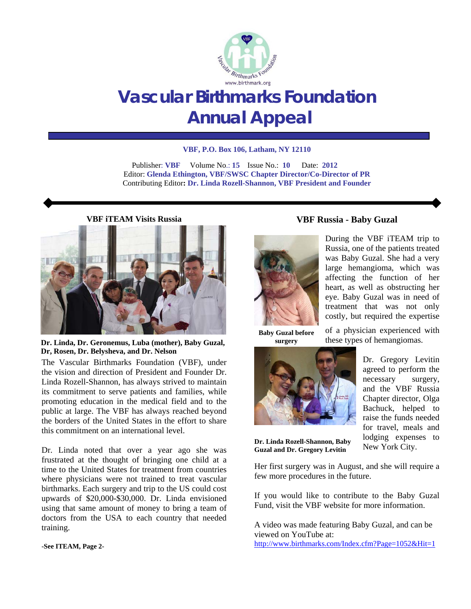

# **Vascular Birthmarks Foundation Annual Appeal**

#### **VBF, P.O. Box 106, Latham, NY 12110**

 Publisher: **VBF** Volume No.: **15** Issue No.: **10** Date: **2012**  Editor: **Glenda Ethington, VBF/SWSC Chapter Director/Co-Director of PR**  Contributing Editor**: Dr. Linda Rozell-Shannon, VBF President and Founder**

**VBF iTEAM Visits Russia** 



**Dr. Linda, Dr. Geronemus, Luba (mother), Baby Guzal, Dr, Rosen, Dr. Belysheva, and Dr. Nelson**

The Vascular Birthmarks Foundation (VBF), under the vision and direction of President and Founder Dr. Linda Rozell-Shannon, has always strived to maintain its commitment to serve patients and families, while promoting education in the medical field and to the public at large. The VBF has always reached beyond the borders of the United States in the effort to share this commitment on an international level.

Dr. Linda noted that over a year ago she was frustrated at the thought of bringing one child at a time to the United States for treatment from countries where physicians were not trained to treat vascular birthmarks. Each surgery and trip to the US could cost upwards of \$20,000-\$30,000. Dr. Linda envisioned using that same amount of money to bring a team of doctors from the USA to each country that needed training.

#### **-See ITEAM, Page 2-**

During the VBF iTEAM trip to Russia, one of the patients treated was Baby Guzal. She had a very large hemangioma, which was affecting the function of her heart, as well as obstructing her eye. Baby Guzal was in need of treatment that was not only costly, but required the expertise

of a physician experienced with these types of hemangiomas.

**VBF Russia - Baby Guzal** 

**Baby Guzal before surgery** 



**Dr. Linda Rozell-Shannon, Baby Guzal and Dr. Gregory Levitin** 

few more procedures in the future.

Dr. Gregory Levitin agreed to perform the necessary surgery, and the VBF Russia Chapter director, Olga Bachuck, helped to raise the funds needed for travel, meals and lodging expenses to

New York City. Her first surgery was in August, and she will require a

If you would like to contribute to the Baby Guzal Fund, visit the VBF website for more information.

A video was made featuring Baby Guzal, and can be viewed on YouTube at: http://www.birthmarks.com/Index.cfm?Page=1052&Hit=1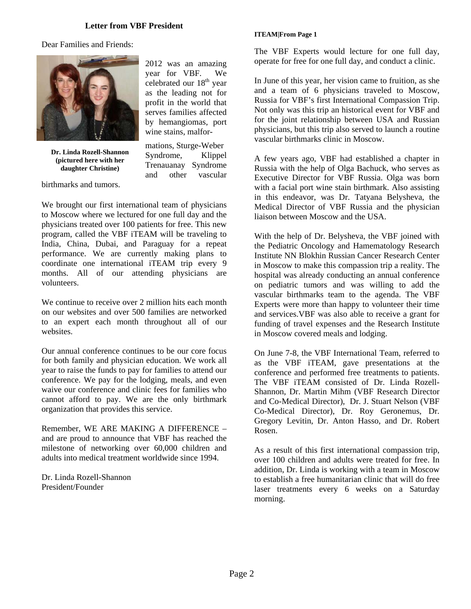#### **Letter from VBF President**

Dear Families and Friends:



**Dr. Linda Rozell-Shannon (pictured here with her daughter Christine)** 

birthmarks and tumors.

2012 was an amazing year for VBF. We celebrated our 18<sup>th</sup> year as the leading not for profit in the world that serves families affected by hemangiomas, port wine stains, malfor-

mations, Sturge-Weber Syndrome, Klippel Trenauanay Syndrome and other vascular

We brought our first international team of physicians to Moscow where we lectured for one full day and the physicians treated over 100 patients for free. This new program, called the VBF iTEAM will be traveling to India, China, Dubai, and Paraguay for a repeat performance. We are currently making plans to coordinate one international iTEAM trip every 9 months. All of our attending physicians are volunteers.

We continue to receive over 2 million hits each month on our websites and over 500 families are networked to an expert each month throughout all of our websites.

Our annual conference continues to be our core focus for both family and physician education. We work all year to raise the funds to pay for families to attend our conference. We pay for the lodging, meals, and even waive our conference and clinic fees for families who cannot afford to pay. We are the only birthmark organization that provides this service.

Remember, WE ARE MAKING A DIFFERENCE – and are proud to announce that VBF has reached the milestone of networking over 60,000 children and adults into medical treatment worldwide since 1994.

Dr. Linda Rozell-Shannon President/Founder

#### **ITEAM|From Page 1**

The VBF Experts would lecture for one full day, operate for free for one full day, and conduct a clinic.

In June of this year, her vision came to fruition, as she and a team of 6 physicians traveled to Moscow, Russia for VBF's first International Compassion Trip. Not only was this trip an historical event for VBF and for the joint relationship between USA and Russian physicians, but this trip also served to launch a routine vascular birthmarks clinic in Moscow.

A few years ago, VBF had established a chapter in Russia with the help of Olga Bachuck, who serves as Executive Director for VBF Russia. Olga was born with a facial port wine stain birthmark. Also assisting in this endeavor, was Dr. Tatyana Belysheva, the Medical Director of VBF Russia and the physician liaison between Moscow and the USA.

With the help of Dr. Belysheva, the VBF joined with the Pediatric Oncology and Hamematology Research Institute NN Blokhin Russian Cancer Research Center in Moscow to make this compassion trip a reality. The hospital was already conducting an annual conference on pediatric tumors and was willing to add the vascular birthmarks team to the agenda. The VBF Experts were more than happy to volunteer their time and services.VBF was also able to receive a grant for funding of travel expenses and the Research Institute in Moscow covered meals and lodging.

On June 7-8, the VBF International Team, referred to as the VBF iTEAM, gave presentations at the conference and performed free treatments to patients. The VBF iTEAM consisted of Dr. Linda Rozell-Shannon, Dr. Martin Mihm (VBF Research Director and Co-Medical Director), Dr. J. Stuart Nelson (VBF Co-Medical Director), Dr. Roy Geronemus, Dr. Gregory Levitin, Dr. Anton Hasso, and Dr. Robert Rosen.

As a result of this first international compassion trip, over 100 children and adults were treated for free. In addition, Dr. Linda is working with a team in Moscow to establish a free humanitarian clinic that will do free laser treatments every 6 weeks on a Saturday morning.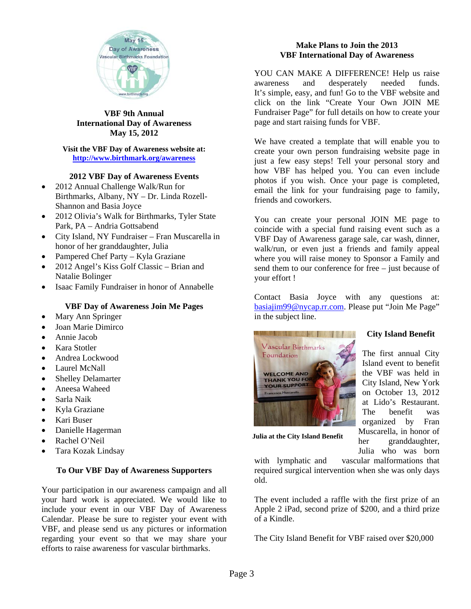

#### **VBF 9th Annual International Day of Awareness May 15, 2012**

### **Visit the VBF Day of Awareness website at: http://www.birthmark.org/awareness**

# **2012 VBF Day of Awareness Events**

- 2012 Annual Challenge Walk/Run for Birthmarks, Albany, NY – Dr. Linda Rozell-Shannon and Basia Joyce
- 2012 Olivia's Walk for Birthmarks, Tyler State Park, PA – Andria Gottsabend
- City Island, NY Fundraiser Fran Muscarella in honor of her granddaughter, Julia
- Pampered Chef Party Kyla Graziane
- 2012 Angel's Kiss Golf Classic Brian and Natalie Bolinger
- Isaac Family Fundraiser in honor of Annabelle

# **VBF Day of Awareness Join Me Pages**

- Mary Ann Springer
- Joan Marie Dimirco
- Annie Jacob
- Kara Stotler
- Andrea Lockwood
- Laurel McNall
- Shelley Delamarter
- Aneesa Waheed
- Sarla Naik
- Kyla Graziane
- Kari Buser
- Danielle Hagerman
- Rachel O'Neil
- Tara Kozak Lindsay

### **To Our VBF Day of Awareness Supporters**

Your participation in our awareness campaign and all your hard work is appreciated. We would like to include your event in our VBF Day of Awareness Calendar. Please be sure to register your event with VBF, and please send us any pictures or information regarding your event so that we may share your efforts to raise awareness for vascular birthmarks.

# **Make Plans to Join the 2013 VBF International Day of Awareness**

YOU CAN MAKE A DIFFERENCE! Help us raise awareness and desperately needed funds. It's simple, easy, and fun! Go to the VBF website and click on the link "Create Your Own JOIN ME Fundraiser Page" for full details on how to create your page and start raising funds for VBF.

We have created a template that will enable you to create your own person fundraising website page in just a few easy steps! Tell your personal story and how VBF has helped you. You can even include photos if you wish. Once your page is completed, email the link for your fundraising page to family, friends and coworkers.

You can create your personal JOIN ME page to coincide with a special fund raising event such as a VBF Day of Awareness garage sale, car wash, dinner, walk/run, or even just a friends and family appeal where you will raise money to Sponsor a Family and send them to our conference for free – just because of your effort !

Contact Basia Joyce with any questions at: basiajim99@nycap.rr.com. Please put "Join Me Page" in the subject line.



**City Island Benefit** 

The first annual City Island event to benefit the VBF was held in City Island, New York on October 13, 2012 at Lido's Restaurant. The benefit was organized by Fran Muscarella, in honor of her granddaughter, Julia who was born

**Julia at the City Island Benefit** 

with lymphatic and vascular malformations that required surgical intervention when she was only days old.

The event included a raffle with the first prize of an Apple 2 iPad, second prize of \$200, and a third prize of a Kindle.

The City Island Benefit for VBF raised over \$20,000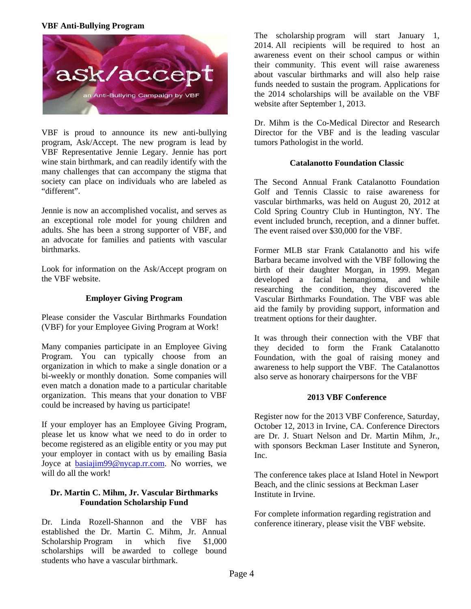### **VBF Anti-Bullying Program**



VBF is proud to announce its new anti-bullying program, Ask/Accept. The new program is lead by VBF Representative Jennie Legary. Jennie has port wine stain birthmark, and can readily identify with the many challenges that can accompany the stigma that society can place on individuals who are labeled as "different".

Jennie is now an accomplished vocalist, and serves as an exceptional role model for young children and adults. She has been a strong supporter of VBF, and an advocate for families and patients with vascular birthmarks.

Look for information on the Ask/Accept program on the VBF website.

### **Employer Giving Program**

Please consider the Vascular Birthmarks Foundation (VBF) for your Employee Giving Program at Work!

Many companies participate in an Employee Giving Program. You can typically choose from an organization in which to make a single donation or a bi-weekly or monthly donation. Some companies will even match a donation made to a particular charitable organization. This means that your donation to VBF could be increased by having us participate!

If your employer has an Employee Giving Program, please let us know what we need to do in order to become registered as an eligible entity or you may put your employer in contact with us by emailing Basia Joyce at basiajim99@nycap.rr.com. No worries, we will do all the work!

### **Dr. Martin C. Mihm, Jr. Vascular Birthmarks Foundation Scholarship Fund**

Dr. Linda Rozell-Shannon and the VBF has established the Dr. Martin C. Mihm, Jr. Annual Scholarship Program in which five \$1,000 scholarships will be awarded to college bound students who have a vascular birthmark.

The scholarship program will start January 1,  $2014$ . All recipients will be required to host an awareness event on their school campus or within their community. This event will raise awareness about vascular birthmarks and will also help raise funds needed to sustain the program. Applications for the 2014 scholarships will be available on the VBF website after September 1, 2013.

Dr. Mihm is the Co-Medical Director and Research Director for the VBF and is the leading vascular tumors Pathologist in the world.

# **Catalanotto Foundation Classic**

The Second Annual Frank Catalanotto Foundation Golf and Tennis Classic to raise awareness for vascular birthmarks, was held on August 20, 2012 at Cold Spring Country Club in Huntington, NY. The event included brunch, reception, and a dinner buffet. The event raised over \$30,000 for the VBF.

Former MLB star Frank Catalanotto and his wife Barbara became involved with the VBF following the birth of their daughter Morgan, in 1999. Megan developed a facial hemangioma, and while researching the condition, they discovered the Vascular Birthmarks Foundation. The VBF was able aid the family by providing support, information and treatment options for their daughter.

It was through their connection with the VBF that they decided to form the Frank Catalanotto Foundation, with the goal of raising money and awareness to help support the VBF. The Catalanottos also serve as honorary chairpersons for the VBF

### **2013 VBF Conference**

Register now for the 2013 VBF Conference, Saturday, October 12, 2013 in Irvine, CA. Conference Directors are Dr. J. Stuart Nelson and Dr. Martin Mihm, Jr., with sponsors Beckman Laser Institute and Syneron, Inc.

The conference takes place at Island Hotel in Newport Beach, and the clinic sessions at Beckman Laser Institute in Irvine.

For complete information regarding registration and conference itinerary, please visit the VBF website.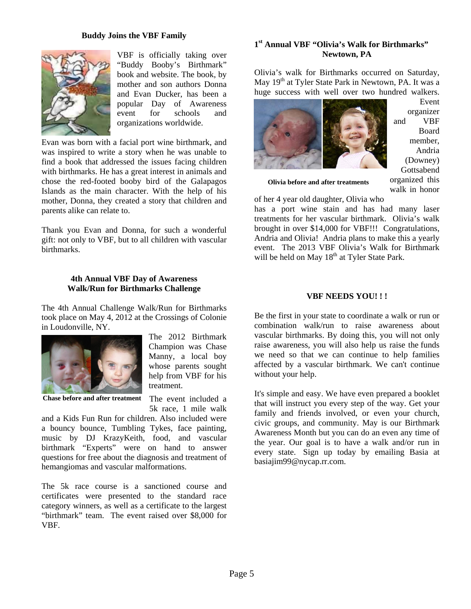#### **Buddy Joins the VBF Family**



VBF is officially taking over "Buddy Booby's Birthmark" book and website. The book, by mother and son authors Donna and Evan Ducker, has been a popular Day of Awareness event for schools and organizations worldwide.

Evan was born with a facial port wine birthmark, and was inspired to write a story when he was unable to find a book that addressed the issues facing children with birthmarks. He has a great interest in animals and chose the red-footed booby bird of the Galapagos Islands as the main character. With the help of his mother, Donna, they created a story that children and parents alike can relate to.

Thank you Evan and Donna, for such a wonderful gift: not only to VBF, but to all children with vascular birthmarks.

#### **4th Annual VBF Day of Awareness Walk/Run for Birthmarks Challenge**

The 4th Annual Challenge Walk/Run for Birthmarks took place on May 4, 2012 at the Crossings of Colonie in Loudonville, NY.



**Chase before and after treatment**

The 2012 Birthmark Champion was Chase Manny, a local boy whose parents sought help from VBF for his treatment.

The event included a 5k race, 1 mile walk

and a Kids Fun Run for children. Also included were a bouncy bounce, Tumbling Tykes, face painting, music by DJ KrazyKeith, food, and vascular birthmark "Experts" were on hand to answer questions for free about the diagnosis and treatment of hemangiomas and vascular malformations.

The 5k race course is a sanctioned course and certificates were presented to the standard race category winners, as well as a certificate to the largest "birthmark" team. The event raised over \$8,000 for VBF.

# **1st Annual VBF "Olivia's Walk for Birthmarks" Newtown, PA**

Olivia's walk for Birthmarks occurred on Saturday, May 19<sup>th</sup> at Tyler State Park in Newtown, PA. It was a huge success with well over two hundred walkers.



Event organizer and VBF Board member, Andria (Downey) Gottsabend organized this walk in honor

**Olivia before and after treatments** 

of her 4 year old daughter, Olivia who has a port wine stain and has had many laser treatments for her vascular birthmark. Olivia's walk brought in over \$14,000 for VBF!!! Congratulations, Andria and Olivia! Andria plans to make this a yearly event. The 2013 VBF Olivia's Walk for Birthmark will be held on May 18<sup>th</sup> at Tyler State Park.

#### **VBF NEEDS YOU! ! !**

Be the first in your state to coordinate a walk or run or combination walk/run to raise awareness about vascular birthmarks. By doing this, you will not only raise awareness, you will also help us raise the funds we need so that we can continue to help families affected by a vascular birthmark. We can't continue without your help.

It's simple and easy. We have even prepared a booklet that will instruct you every step of the way. Get your family and friends involved, or even your church, civic groups, and community. May is our Birthmark Awareness Month but you can do an even any time of the year. Our goal is to have a walk and/or run in every state. Sign up today by emailing Basia at basiajim99@nycap.rr.com.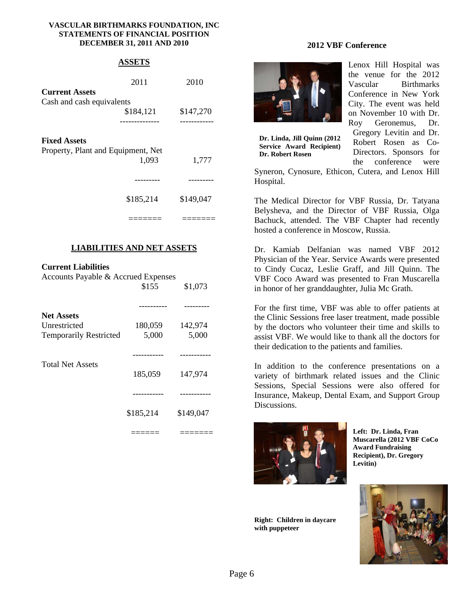#### **VASCULAR BIRTHMARKS FOUNDATION, INC STATEMENTS OF FINANCIAL POSITION DECEMBER 31, 2011 AND 2010**

# **ASSETS**

|                                    | 2011      | 2010      |
|------------------------------------|-----------|-----------|
| <b>Current Assets</b>              |           |           |
| Cash and cash equivalents          |           |           |
|                                    | \$184,121 | \$147,270 |
|                                    |           |           |
| <b>Fixed Assets</b>                |           |           |
| Property, Plant and Equipment, Net |           |           |
|                                    | 1.093     | 1,777     |

 --------- --------- \$185,214 \$149,047

# **LIABILITIES AND NET ASSETS**

======= =======

### **Current Liabilities**

| Accounts Payable & Accrued Expenses |           |           |
|-------------------------------------|-----------|-----------|
|                                     | \$155     | \$1,073   |
|                                     |           |           |
| <b>Net Assets</b>                   |           |           |
| Unrestricted                        | 180,059   | 142,974   |
| <b>Temporarily Restricted</b>       | 5,000     | 5,000     |
|                                     |           |           |
| <b>Total Net Assets</b>             | 185,059   | 147,974   |
|                                     |           |           |
|                                     | \$185,214 | \$149,047 |
|                                     |           |           |

#### **2012 VBF Conference**



**Dr. Linda, Jill Quinn (2012 Service Award Recipient) Dr. Robert Rosen** 

Lenox Hill Hospital was the venue for the 2012 Vascular Birthmarks Conference in New York City. The event was held on November 10 with Dr. Roy Geronemus, Dr. Gregory Levitin and Dr.

Robert Rosen as Co-Directors. Sponsors for the conference were

Syneron, Cynosure, Ethicon, Cutera, and Lenox Hill Hospital.

The Medical Director for VBF Russia, Dr. Tatyana Belysheva, and the Director of VBF Russia, Olga Bachuck, attended. The VBF Chapter had recently hosted a conference in Moscow, Russia.

Dr. Kamiab Delfanian was named VBF 2012 Physician of the Year. Service Awards were presented to Cindy Cucaz, Leslie Graff, and Jill Quinn. The VBF Coco Award was presented to Fran Muscarella in honor of her granddaughter, Julia Mc Grath.

For the first time, VBF was able to offer patients at the Clinic Sessions free laser treatment, made possible by the doctors who volunteer their time and skills to assist VBF. We would like to thank all the doctors for their dedication to the patients and families.

In addition to the conference presentations on a variety of birthmark related issues and the Clinic Sessions, Special Sessions were also offered for Insurance, Makeup, Dental Exam, and Support Group Discussions.



**Left: Dr. Linda, Fran Muscarella (2012 VBF CoCo Award Fundraising Recipient), Dr. Gregory Levitin)** 

**Right: Children in daycare with puppeteer**

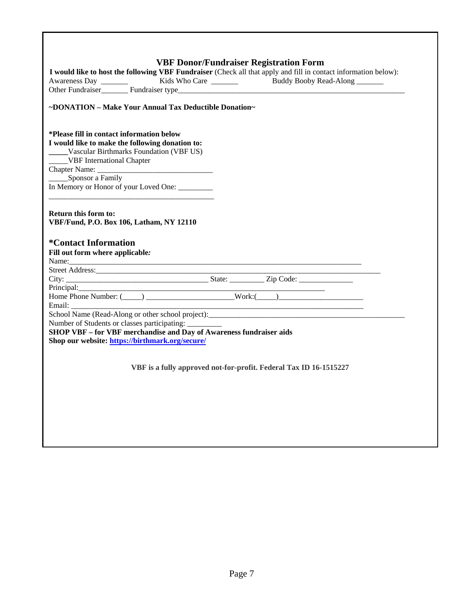|                                                                                                                        | I would like to host the following VBF Fundraiser (Check all that apply and fill in contact information below):                                                                                                                                          |
|------------------------------------------------------------------------------------------------------------------------|----------------------------------------------------------------------------------------------------------------------------------------------------------------------------------------------------------------------------------------------------------|
|                                                                                                                        | Awareness Day<br>Cher Fundraiser Chernal Europe<br>Fundraiser type<br>Europe<br>Chernal Europe<br>Chernal Europe<br>Chernal Europe<br>Chernal Europe<br>Chernal Europe<br>Chernal Europe<br>Chernal Europe<br>Chernal Europe<br>Chernal Europe<br>Cherna |
|                                                                                                                        |                                                                                                                                                                                                                                                          |
| ~DONATION – Make Your Annual Tax Deductible Donation~                                                                  |                                                                                                                                                                                                                                                          |
|                                                                                                                        |                                                                                                                                                                                                                                                          |
| *Please fill in contact information below                                                                              |                                                                                                                                                                                                                                                          |
| I would like to make the following donation to:<br>Vascular Birthmarks Foundation (VBF US)                             |                                                                                                                                                                                                                                                          |
| <b>VBF</b> International Chapter                                                                                       |                                                                                                                                                                                                                                                          |
|                                                                                                                        |                                                                                                                                                                                                                                                          |
| _____Sponsor a Family                                                                                                  |                                                                                                                                                                                                                                                          |
| In Memory or Honor of your Loved One: ________                                                                         |                                                                                                                                                                                                                                                          |
|                                                                                                                        |                                                                                                                                                                                                                                                          |
|                                                                                                                        |                                                                                                                                                                                                                                                          |
| <b>Return this form to:</b><br>VBF/Fund, P.O. Box 106, Latham, NY 12110                                                |                                                                                                                                                                                                                                                          |
|                                                                                                                        |                                                                                                                                                                                                                                                          |
| *Contact Information                                                                                                   |                                                                                                                                                                                                                                                          |
|                                                                                                                        |                                                                                                                                                                                                                                                          |
|                                                                                                                        |                                                                                                                                                                                                                                                          |
| Fill out form where applicable:                                                                                        |                                                                                                                                                                                                                                                          |
|                                                                                                                        |                                                                                                                                                                                                                                                          |
|                                                                                                                        |                                                                                                                                                                                                                                                          |
|                                                                                                                        |                                                                                                                                                                                                                                                          |
|                                                                                                                        |                                                                                                                                                                                                                                                          |
|                                                                                                                        | <u> 2000 - Jan James James Barnett (f. 1980)</u>                                                                                                                                                                                                         |
|                                                                                                                        |                                                                                                                                                                                                                                                          |
| Number of Students or classes participating: __________                                                                |                                                                                                                                                                                                                                                          |
|                                                                                                                        |                                                                                                                                                                                                                                                          |
| SHOP VBF - for VBF merchandise and Day of Awareness fundraiser aids<br>Shop our website: https://birthmark.org/secure/ |                                                                                                                                                                                                                                                          |
|                                                                                                                        |                                                                                                                                                                                                                                                          |
|                                                                                                                        |                                                                                                                                                                                                                                                          |
|                                                                                                                        | VBF is a fully approved not-for-profit. Federal Tax ID 16-1515227                                                                                                                                                                                        |
|                                                                                                                        |                                                                                                                                                                                                                                                          |
|                                                                                                                        |                                                                                                                                                                                                                                                          |
|                                                                                                                        |                                                                                                                                                                                                                                                          |